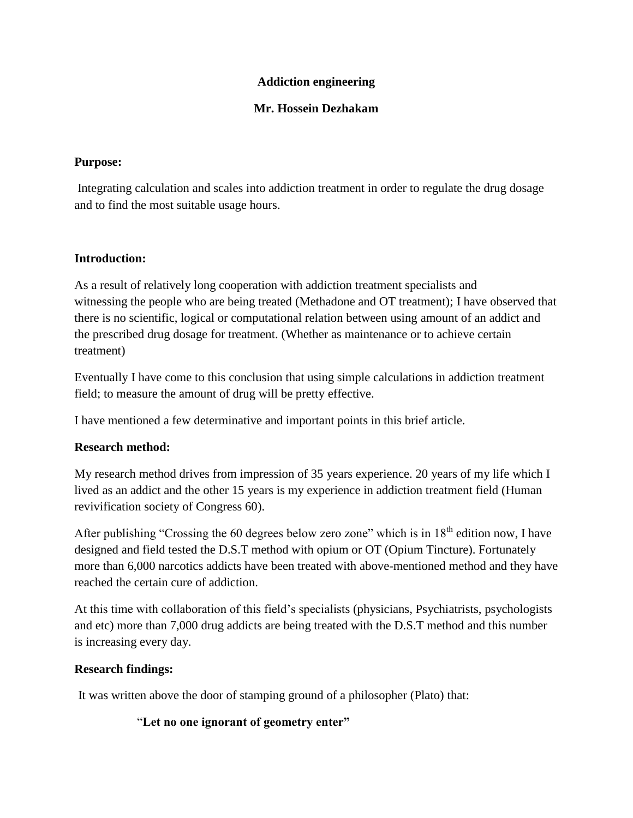### **Addiction engineering**

### **Mr. Hossein Dezhakam**

#### **Purpose:**

Integrating calculation and scales into addiction treatment in order to regulate the drug dosage and to find the most suitable usage hours.

## **Introduction:**

As a result of relatively long cooperation with addiction treatment specialists and witnessing the people who are being treated (Methadone and OT treatment); I have observed that there is no scientific, logical or computational relation between using amount of an addict and the prescribed drug dosage for treatment. (Whether as maintenance or to achieve certain treatment)

Eventually I have come to this conclusion that using simple calculations in addiction treatment field; to measure the amount of drug will be pretty effective.

I have mentioned a few determinative and important points in this brief article.

## **Research method:**

My research method drives from impression of 35 years experience. 20 years of my life which I lived as an addict and the other 15 years is my experience in addiction treatment field (Human revivification society of Congress 60).

After publishing "Crossing the 60 degrees below zero zone" which is in  $18<sup>th</sup>$  edition now. I have designed and field tested the D.S.T method with opium or OT (Opium Tincture). Fortunately more than 6,000 narcotics addicts have been treated with above-mentioned method and they have reached the certain cure of addiction.

At this time with collaboration of this field's specialists (physicians, Psychiatrists, psychologists and etc) more than 7,000 drug addicts are being treated with the D.S.T method and this number is increasing every day.

## **Research findings:**

It was written above the door of stamping ground of a philosopher (Plato) that:

"**Let no one ignorant of geometry enter"**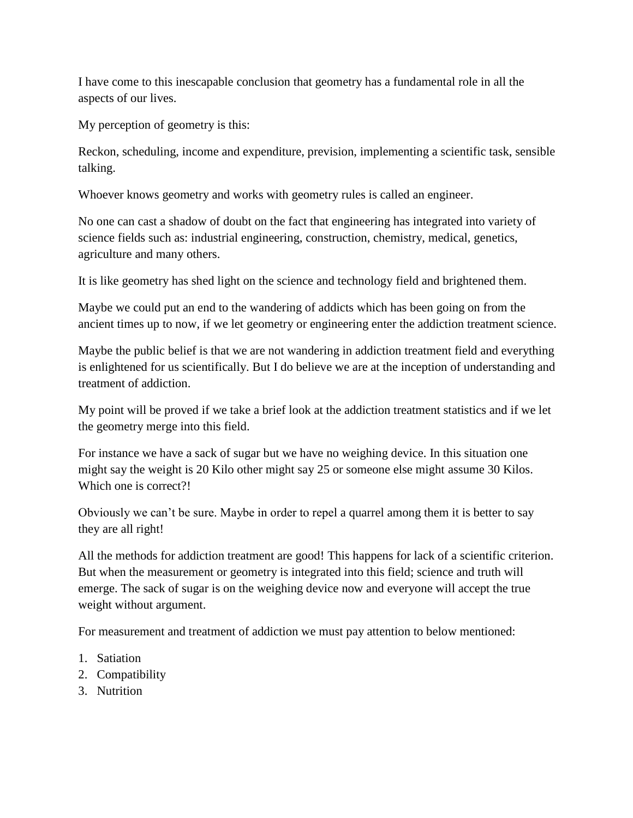I have come to this inescapable conclusion that geometry has a fundamental role in all the aspects of our lives.

My perception of geometry is this:

Reckon, scheduling, income and expenditure, prevision, implementing a scientific task, sensible talking.

Whoever knows geometry and works with geometry rules is called an engineer.

No one can cast a shadow of doubt on the fact that engineering has integrated into variety of science fields such as: industrial engineering, construction, chemistry, medical, genetics, agriculture and many others.

It is like geometry has shed light on the science and technology field and brightened them.

Maybe we could put an end to the wandering of addicts which has been going on from the ancient times up to now, if we let geometry or engineering enter the addiction treatment science.

Maybe the public belief is that we are not wandering in addiction treatment field and everything is enlightened for us scientifically. But I do believe we are at the inception of understanding and treatment of addiction.

My point will be proved if we take a brief look at the addiction treatment statistics and if we let the geometry merge into this field.

For instance we have a sack of sugar but we have no weighing device. In this situation one might say the weight is 20 Kilo other might say 25 or someone else might assume 30 Kilos. Which one is correct?!

Obviously we can't be sure. Maybe in order to repel a quarrel among them it is better to say they are all right!

All the methods for addiction treatment are good! This happens for lack of a scientific criterion. But when the measurement or geometry is integrated into this field; science and truth will emerge. The sack of sugar is on the weighing device now and everyone will accept the true weight without argument.

For measurement and treatment of addiction we must pay attention to below mentioned:

- 1. Satiation
- 2. Compatibility
- 3. Nutrition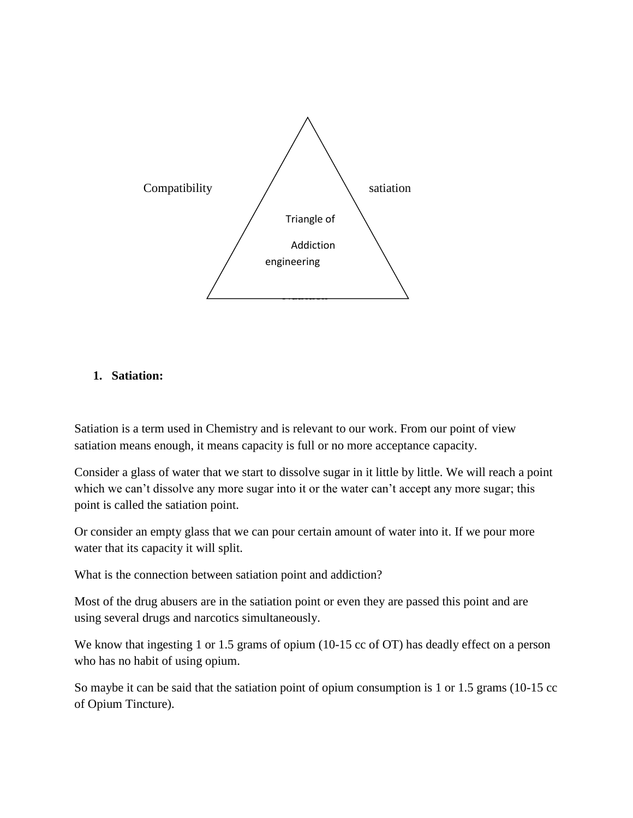

#### **1. Satiation:**

Satiation is a term used in Chemistry and is relevant to our work. From our point of view satiation means enough, it means capacity is full or no more acceptance capacity.

Consider a glass of water that we start to dissolve sugar in it little by little. We will reach a point which we can't dissolve any more sugar into it or the water can't accept any more sugar; this point is called the satiation point.

Or consider an empty glass that we can pour certain amount of water into it. If we pour more water that its capacity it will split.

What is the connection between satiation point and addiction?

Most of the drug abusers are in the satiation point or even they are passed this point and are using several drugs and narcotics simultaneously.

We know that ingesting 1 or 1.5 grams of opium (10-15 cc of OT) has deadly effect on a person who has no habit of using opium.

So maybe it can be said that the satiation point of opium consumption is 1 or 1.5 grams (10-15 cc of Opium Tincture).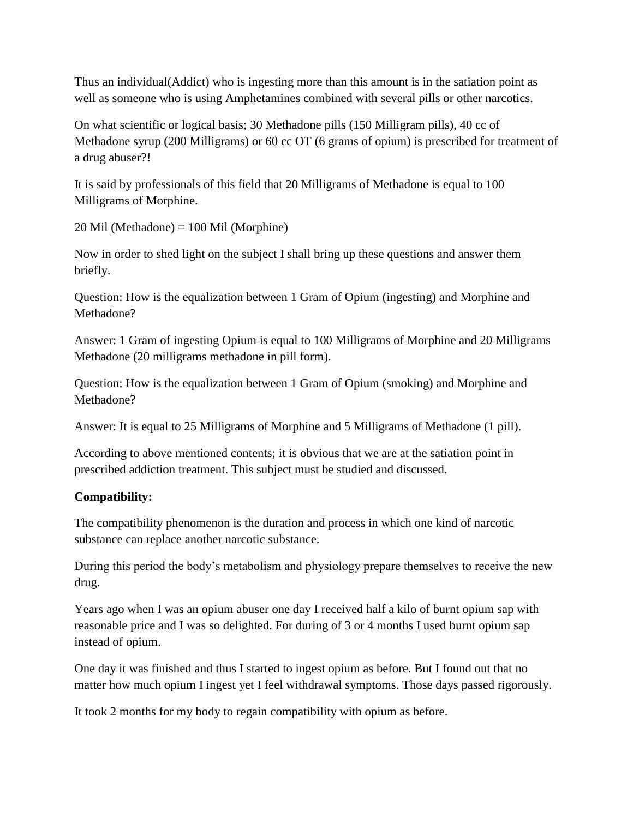Thus an individual(Addict) who is ingesting more than this amount is in the satiation point as well as someone who is using Amphetamines combined with several pills or other narcotics.

On what scientific or logical basis; 30 Methadone pills (150 Milligram pills), 40 cc of Methadone syrup (200 Milligrams) or 60 cc OT (6 grams of opium) is prescribed for treatment of a drug abuser?!

It is said by professionals of this field that 20 Milligrams of Methadone is equal to 100 Milligrams of Morphine.

20 Mil (Methadone) = 100 Mil (Morphine)

Now in order to shed light on the subject I shall bring up these questions and answer them briefly.

Question: How is the equalization between 1 Gram of Opium (ingesting) and Morphine and Methadone?

Answer: 1 Gram of ingesting Opium is equal to 100 Milligrams of Morphine and 20 Milligrams Methadone (20 milligrams methadone in pill form).

Question: How is the equalization between 1 Gram of Opium (smoking) and Morphine and Methadone?

Answer: It is equal to 25 Milligrams of Morphine and 5 Milligrams of Methadone (1 pill).

According to above mentioned contents; it is obvious that we are at the satiation point in prescribed addiction treatment. This subject must be studied and discussed.

# **Compatibility:**

The compatibility phenomenon is the duration and process in which one kind of narcotic substance can replace another narcotic substance.

During this period the body's metabolism and physiology prepare themselves to receive the new drug.

Years ago when I was an opium abuser one day I received half a kilo of burnt opium sap with reasonable price and I was so delighted. For during of 3 or 4 months I used burnt opium sap instead of opium.

One day it was finished and thus I started to ingest opium as before. But I found out that no matter how much opium I ingest yet I feel withdrawal symptoms. Those days passed rigorously.

It took 2 months for my body to regain compatibility with opium as before.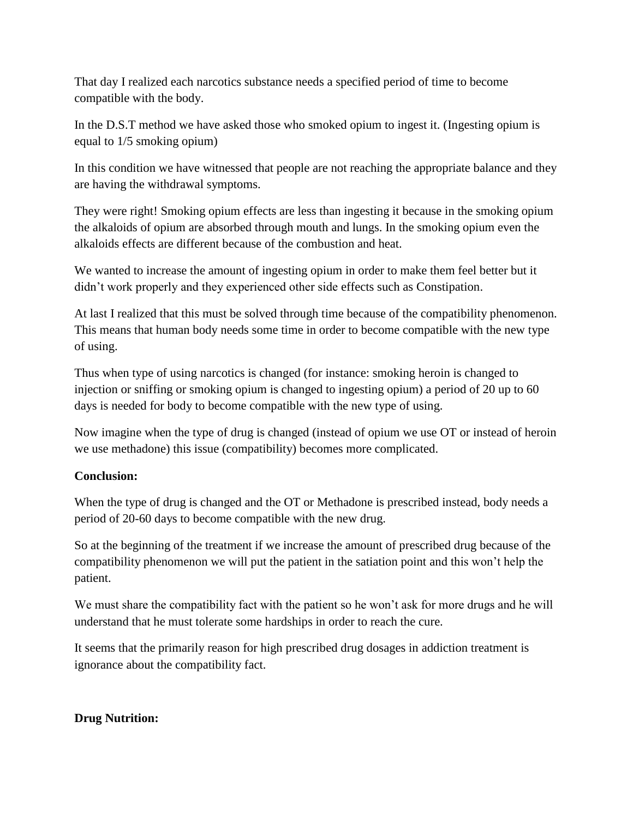That day I realized each narcotics substance needs a specified period of time to become compatible with the body.

In the D.S.T method we have asked those who smoked opium to ingest it. (Ingesting opium is equal to 1/5 smoking opium)

In this condition we have witnessed that people are not reaching the appropriate balance and they are having the withdrawal symptoms.

They were right! Smoking opium effects are less than ingesting it because in the smoking opium the alkaloids of opium are absorbed through mouth and lungs. In the smoking opium even the alkaloids effects are different because of the combustion and heat.

We wanted to increase the amount of ingesting opium in order to make them feel better but it didn't work properly and they experienced other side effects such as Constipation.

At last I realized that this must be solved through time because of the compatibility phenomenon. This means that human body needs some time in order to become compatible with the new type of using.

Thus when type of using narcotics is changed (for instance: smoking heroin is changed to injection or sniffing or smoking opium is changed to ingesting opium) a period of 20 up to 60 days is needed for body to become compatible with the new type of using.

Now imagine when the type of drug is changed (instead of opium we use OT or instead of heroin we use methadone) this issue (compatibility) becomes more complicated.

# **Conclusion:**

When the type of drug is changed and the OT or Methadone is prescribed instead, body needs a period of 20-60 days to become compatible with the new drug.

So at the beginning of the treatment if we increase the amount of prescribed drug because of the compatibility phenomenon we will put the patient in the satiation point and this won't help the patient.

We must share the compatibility fact with the patient so he won't ask for more drugs and he will understand that he must tolerate some hardships in order to reach the cure.

It seems that the primarily reason for high prescribed drug dosages in addiction treatment is ignorance about the compatibility fact.

# **Drug Nutrition:**